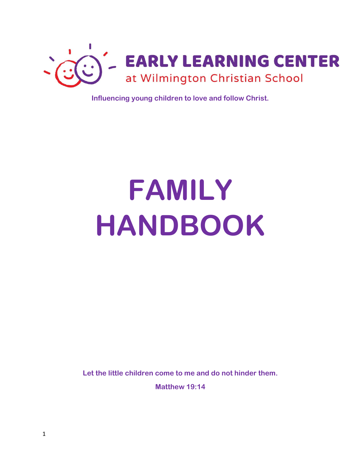

**Influencing young children to love and follow Christ.**

# **FAMILY HANDBOOK**

**Let the little children come to me and do not hinder them.**

**Matthew 19:14**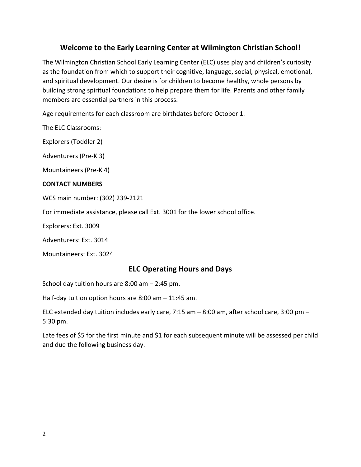# **Welcome to the Early Learning Center at Wilmington Christian School!**

The Wilmington Christian School Early Learning Center (ELC) uses play and children's curiosity as the foundation from which to support their cognitive, language, social, physical, emotional, and spiritual development. Our desire is for children to become healthy, whole persons by building strong spiritual foundations to help prepare them for life. Parents and other family members are essential partners in this process.

Age requirements for each classroom are birthdates before October 1.

The ELC Classrooms:

Explorers (Toddler 2)

Adventurers (Pre-K 3)

Mountaineers (Pre-K 4)

#### **CONTACT NUMBERS**

WCS main number: (302) 239-2121

For immediate assistance, please call Ext. 3001 for the lower school office.

Explorers: Ext. 3009

Adventurers: Ext. 3014

Mountaineers: Ext. 3024

#### **ELC Operating Hours and Days**

School day tuition hours are 8:00 am – 2:45 pm.

Half-day tuition option hours are 8:00 am – 11:45 am.

ELC extended day tuition includes early care, 7:15 am – 8:00 am, after school care, 3:00 pm – 5:30 pm.

Late fees of \$5 for the first minute and \$1 for each subsequent minute will be assessed per child and due the following business day.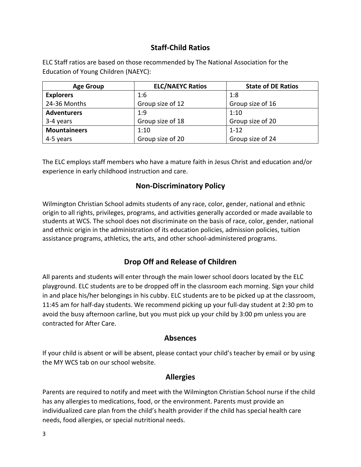# **Staff-Child Ratios**

ELC Staff ratios are based on those recommended by The National Association for the Education of Young Children (NAEYC):

| <b>Age Group</b>    | <b>ELC/NAEYC Ratios</b> | <b>State of DE Ratios</b> |
|---------------------|-------------------------|---------------------------|
| <b>Explorers</b>    | 1:6                     | 1:8                       |
| 24-36 Months        | Group size of 12        | Group size of 16          |
| <b>Adventurers</b>  | 1:9                     | 1:10                      |
| 3-4 years           | Group size of 18        | Group size of 20          |
| <b>Mountaineers</b> | 1:10                    | $1 - 12$                  |
| 4-5 years           | Group size of 20        | Group size of 24          |

The ELC employs staff members who have a mature faith in Jesus Christ and education and/or experience in early childhood instruction and care.

# **Non-Discriminatory Policy**

Wilmington Christian School admits students of any race, color, gender, national and ethnic origin to all rights, privileges, programs, and activities generally accorded or made available to students at WCS. The school does not discriminate on the basis of race, color, gender, national and ethnic origin in the administration of its education policies, admission policies, tuition assistance programs, athletics, the arts, and other school-administered programs.

# **Drop Off and Release of Children**

All parents and students will enter through the main lower school doors located by the ELC playground. ELC students are to be dropped off in the classroom each morning. Sign your child in and place his/her belongings in his cubby. ELC students are to be picked up at the classroom, 11:45 am for half-day students. We recommend picking up your full-day student at 2:30 pm to avoid the busy afternoon carline, but you must pick up your child by 3:00 pm unless you are contracted for After Care.

#### **Absences**

If your child is absent or will be absent, please contact your child's teacher by email or by using the MY WCS tab on our school website.

# **Allergies**

Parents are required to notify and meet with the Wilmington Christian School nurse if the child has any allergies to medications, food, or the environment. Parents must provide an individualized care plan from the child's health provider if the child has special health care needs, food allergies, or special nutritional needs.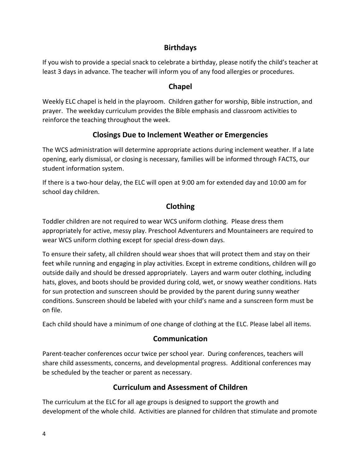# **Birthdays**

If you wish to provide a special snack to celebrate a birthday, please notify the child's teacher at least 3 days in advance. The teacher will inform you of any food allergies or procedures.

# **Chapel**

Weekly ELC chapel is held in the playroom. Children gather for worship, Bible instruction, and prayer. The weekday curriculum provides the Bible emphasis and classroom activities to reinforce the teaching throughout the week.

# **Closings Due to Inclement Weather or Emergencies**

The WCS administration will determine appropriate actions during inclement weather. If a late opening, early dismissal, or closing is necessary, families will be informed through FACTS, our student information system.

If there is a two-hour delay, the ELC will open at 9:00 am for extended day and 10:00 am for school day children.

# **Clothing**

Toddler children are not required to wear WCS uniform clothing. Please dress them appropriately for active, messy play. Preschool Adventurers and Mountaineers are required to wear WCS uniform clothing except for special dress-down days.

To ensure their safety, all children should wear shoes that will protect them and stay on their feet while running and engaging in play activities. Except in extreme conditions, children will go outside daily and should be dressed appropriately. Layers and warm outer clothing, including hats, gloves, and boots should be provided during cold, wet, or snowy weather conditions. Hats for sun protection and sunscreen should be provided by the parent during sunny weather conditions. Sunscreen should be labeled with your child's name and a sunscreen form must be on file.

Each child should have a minimum of one change of clothing at the ELC. Please label all items.

#### **Communication**

Parent-teacher conferences occur twice per school year. During conferences, teachers will share child assessments, concerns, and developmental progress. Additional conferences may be scheduled by the teacher or parent as necessary.

# **Curriculum and Assessment of Children**

The curriculum at the ELC for all age groups is designed to support the growth and development of the whole child. Activities are planned for children that stimulate and promote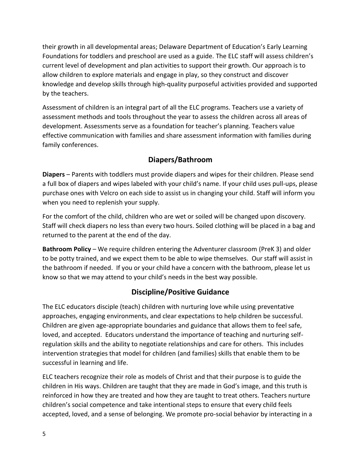their growth in all developmental areas; Delaware Department of Education's Early Learning Foundations for toddlers and preschool are used as a guide. The ELC staff will assess children's current level of development and plan activities to support their growth. Our approach is to allow children to explore materials and engage in play, so they construct and discover knowledge and develop skills through high-quality purposeful activities provided and supported by the teachers.

Assessment of children is an integral part of all the ELC programs. Teachers use a variety of assessment methods and tools throughout the year to assess the children across all areas of development. Assessments serve as a foundation for teacher's planning. Teachers value effective communication with families and share assessment information with families during family conferences.

# **Diapers/Bathroom**

**Diapers** – Parents with toddlers must provide diapers and wipes for their children. Please send a full box of diapers and wipes labeled with your child's name. If your child uses pull-ups, please purchase ones with Velcro on each side to assist us in changing your child. Staff will inform you when you need to replenish your supply.

For the comfort of the child, children who are wet or soiled will be changed upon discovery. Staff will check diapers no less than every two hours. Soiled clothing will be placed in a bag and returned to the parent at the end of the day.

**Bathroom Policy** – We require children entering the Adventurer classroom (PreK 3) and older to be potty trained, and we expect them to be able to wipe themselves. Our staff will assist in the bathroom if needed. If you or your child have a concern with the bathroom, please let us know so that we may attend to your child's needs in the best way possible.

# **Discipline/Positive Guidance**

The ELC educators disciple (teach) children with nurturing love while using preventative approaches, engaging environments, and clear expectations to help children be successful. Children are given age-appropriate boundaries and guidance that allows them to feel safe, loved, and accepted. Educators understand the importance of teaching and nurturing selfregulation skills and the ability to negotiate relationships and care for others. This includes intervention strategies that model for children (and families) skills that enable them to be successful in learning and life.

ELC teachers recognize their role as models of Christ and that their purpose is to guide the children in His ways. Children are taught that they are made in God's image, and this truth is reinforced in how they are treated and how they are taught to treat others. Teachers nurture children's social competence and take intentional steps to ensure that every child feels accepted, loved, and a sense of belonging. We promote pro-social behavior by interacting in a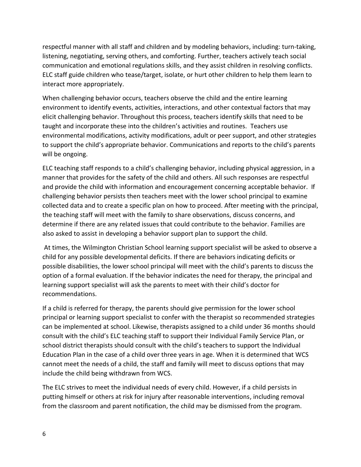respectful manner with all staff and children and by modeling behaviors, including: turn-taking, listening, negotiating, serving others, and comforting. Further, teachers actively teach social communication and emotional regulations skills, and they assist children in resolving conflicts. ELC staff guide children who tease/target, isolate, or hurt other children to help them learn to interact more appropriately.

When challenging behavior occurs, teachers observe the child and the entire learning environment to identify events, activities, interactions, and other contextual factors that may elicit challenging behavior. Throughout this process, teachers identify skills that need to be taught and incorporate these into the children's activities and routines. Teachers use environmental modifications, activity modifications, adult or peer support, and other strategies to support the child's appropriate behavior. Communications and reports to the child's parents will be ongoing.

ELC teaching staff responds to a child's challenging behavior, including physical aggression, in a manner that provides for the safety of the child and others. All such responses are respectful and provide the child with information and encouragement concerning acceptable behavior. If challenging behavior persists then teachers meet with the lower school principal to examine collected data and to create a specific plan on how to proceed. After meeting with the principal, the teaching staff will meet with the family to share observations, discuss concerns, and determine if there are any related issues that could contribute to the behavior. Families are also asked to assist in developing a behavior support plan to support the child.

At times, the Wilmington Christian School learning support specialist will be asked to observe a child for any possible developmental deficits. If there are behaviors indicating deficits or possible disabilities, the lower school principal will meet with the child's parents to discuss the option of a formal evaluation. If the behavior indicates the need for therapy, the principal and learning support specialist will ask the parents to meet with their child's doctor for recommendations.

If a child is referred for therapy, the parents should give permission for the lower school principal or learning support specialist to confer with the therapist so recommended strategies can be implemented at school. Likewise, therapists assigned to a child under 36 months should consult with the child's ELC teaching staff to support their Individual Family Service Plan, or school district therapists should consult with the child's teachers to support the Individual Education Plan in the case of a child over three years in age. When it is determined that WCS cannot meet the needs of a child, the staff and family will meet to discuss options that may include the child being withdrawn from WCS.

The ELC strives to meet the individual needs of every child. However, if a child persists in putting himself or others at risk for injury after reasonable interventions, including removal from the classroom and parent notification, the child may be dismissed from the program.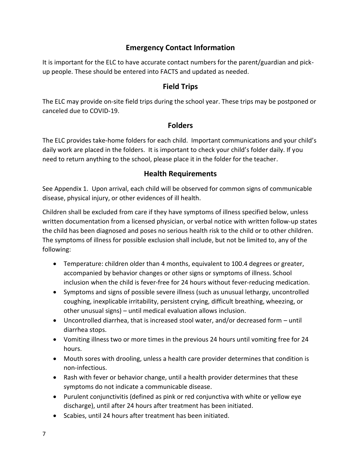# **Emergency Contact Information**

It is important for the ELC to have accurate contact numbers for the parent/guardian and pickup people. These should be entered into FACTS and updated as needed.

#### **Field Trips**

The ELC may provide on-site field trips during the school year. These trips may be postponed or canceled due to COVID-19.

#### **Folders**

The ELC provides take-home folders for each child. Important communications and your child's daily work are placed in the folders. It is important to check your child's folder daily. If you need to return anything to the school, please place it in the folder for the teacher.

#### **Health Requirements**

See Appendix 1. Upon arrival, each child will be observed for common signs of communicable disease, physical injury, or other evidences of ill health.

Children shall be excluded from care if they have symptoms of illness specified below, unless written documentation from a licensed physician, or verbal notice with written follow-up states the child has been diagnosed and poses no serious health risk to the child or to other children. The symptoms of illness for possible exclusion shall include, but not be limited to, any of the following:

- Temperature: children older than 4 months, equivalent to 100.4 degrees or greater, accompanied by behavior changes or other signs or symptoms of illness. School inclusion when the child is fever-free for 24 hours without fever-reducing medication.
- Symptoms and signs of possible severe illness (such as unusual lethargy, uncontrolled coughing, inexplicable irritability, persistent crying, difficult breathing, wheezing, or other unusual signs) – until medical evaluation allows inclusion.
- Uncontrolled diarrhea, that is increased stool water, and/or decreased form until diarrhea stops.
- Vomiting illness two or more times in the previous 24 hours until vomiting free for 24 hours.
- Mouth sores with drooling, unless a health care provider determines that condition is non-infectious.
- Rash with fever or behavior change, until a health provider determines that these symptoms do not indicate a communicable disease.
- Purulent conjunctivitis (defined as pink or red conjunctiva with white or yellow eye discharge), until after 24 hours after treatment has been initiated.
- Scabies, until 24 hours after treatment has been initiated.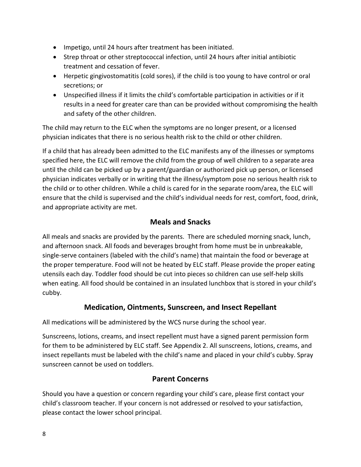- Impetigo, until 24 hours after treatment has been initiated.
- Strep throat or other streptococcal infection, until 24 hours after initial antibiotic treatment and cessation of fever.
- Herpetic gingivostomatitis (cold sores), if the child is too young to have control or oral secretions; or
- Unspecified illness if it limits the child's comfortable participation in activities or if it results in a need for greater care than can be provided without compromising the health and safety of the other children.

The child may return to the ELC when the symptoms are no longer present, or a licensed physician indicates that there is no serious health risk to the child or other children.

If a child that has already been admitted to the ELC manifests any of the illnesses or symptoms specified here, the ELC will remove the child from the group of well children to a separate area until the child can be picked up by a parent/guardian or authorized pick up person, or licensed physician indicates verbally or in writing that the illness/symptom pose no serious health risk to the child or to other children. While a child is cared for in the separate room/area, the ELC will ensure that the child is supervised and the child's individual needs for rest, comfort, food, drink, and appropriate activity are met.

# **Meals and Snacks**

All meals and snacks are provided by the parents. There are scheduled morning snack, lunch, and afternoon snack. All foods and beverages brought from home must be in unbreakable, single-serve containers (labeled with the child's name) that maintain the food or beverage at the proper temperature. Food will not be heated by ELC staff. Please provide the proper eating utensils each day. Toddler food should be cut into pieces so children can use self-help skills when eating. All food should be contained in an insulated lunchbox that is stored in your child's cubby.

# **Medication, Ointments, Sunscreen, and Insect Repellant**

All medications will be administered by the WCS nurse during the school year.

Sunscreens, lotions, creams, and insect repellent must have a signed parent permission form for them to be administered by ELC staff. See Appendix 2. All sunscreens, lotions, creams, and insect repellants must be labeled with the child's name and placed in your child's cubby. Spray sunscreen cannot be used on toddlers.

#### **Parent Concerns**

Should you have a question or concern regarding your child's care, please first contact your child's classroom teacher. If your concern is not addressed or resolved to your satisfaction, please contact the lower school principal.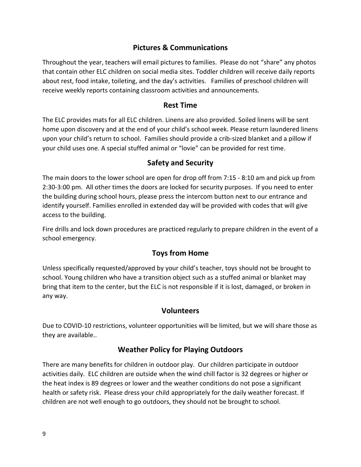#### **Pictures & Communications**

Throughout the year, teachers will email pictures to families. Please do not "share" any photos that contain other ELC children on social media sites. Toddler children will receive daily reports about rest, food intake, toileting, and the day's activities. Families of preschool children will receive weekly reports containing classroom activities and announcements.

#### **Rest Time**

The ELC provides mats for all ELC children. Linens are also provided. Soiled linens will be sent home upon discovery and at the end of your child's school week. Please return laundered linens upon your child's return to school. Families should provide a crib-sized blanket and a pillow if your child uses one. A special stuffed animal or "lovie" can be provided for rest time.

#### **Safety and Security**

The main doors to the lower school are open for drop off from 7:15 - 8:10 am and pick up from 2:30-3:00 pm. All other times the doors are locked for security purposes. If you need to enter the building during school hours, please press the intercom button next to our entrance and identify yourself. Families enrolled in extended day will be provided with codes that will give access to the building.

Fire drills and lock down procedures are practiced regularly to prepare children in the event of a school emergency.

#### **Toys from Home**

Unless specifically requested/approved by your child's teacher, toys should not be brought to school. Young children who have a transition object such as a stuffed animal or blanket may bring that item to the center, but the ELC is not responsible if it is lost, damaged, or broken in any way.

#### **Volunteers**

Due to COVID-10 restrictions, volunteer opportunities will be limited, but we will share those as they are available..

#### **Weather Policy for Playing Outdoors**

There are many benefits for children in outdoor play. Our children participate in outdoor activities daily. ELC children are outside when the wind chill factor is 32 degrees or higher or the heat index is 89 degrees or lower and the weather conditions do not pose a significant health or safety risk. Please dress your child appropriately for the daily weather forecast. If children are not well enough to go outdoors, they should not be brought to school.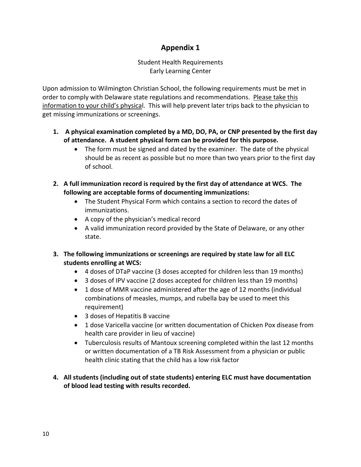# **Appendix 1**

#### Student Health Requirements Early Learning Center

Upon admission to Wilmington Christian School, the following requirements must be met in order to comply with Delaware state regulations and recommendations. Please take this information to your child's physical. This will help prevent later trips back to the physician to get missing immunizations or screenings.

- **1. A physical examination completed by a MD, DO, PA, or CNP presented by the first day of attendance. A student physical form can be provided for this purpose.**
	- The form must be signed and dated by the examiner. The date of the physical should be as recent as possible but no more than two years prior to the first day of school.
- **2. A full immunization record is required by the first day of attendance at WCS. The following are acceptable forms of documenting immunizations:**
	- The Student Physical Form which contains a section to record the dates of immunizations.
	- A copy of the physician's medical record
	- A valid immunization record provided by the State of Delaware, or any other state.
- **3. The following immunizations or screenings are required by state law for all ELC students enrolling at WCS:**
	- 4 doses of DTaP vaccine (3 doses accepted for children less than 19 months)
	- 3 doses of IPV vaccine (2 doses accepted for children less than 19 months)
	- 1 dose of MMR vaccine administered after the age of 12 months (individual combinations of measles, mumps, and rubella bay be used to meet this requirement)
	- 3 doses of Hepatitis B vaccine
	- 1 dose Varicella vaccine (or written documentation of Chicken Pox disease from health care provider in lieu of vaccine)
	- Tuberculosis results of Mantoux screening completed within the last 12 months or written documentation of a TB Risk Assessment from a physician or public health clinic stating that the child has a low risk factor
- **4. All students (including out of state students) entering ELC must have documentation of blood lead testing with results recorded.**